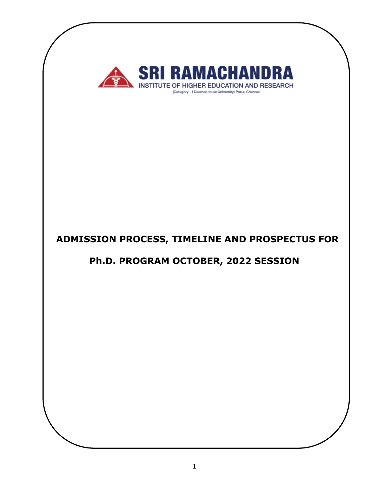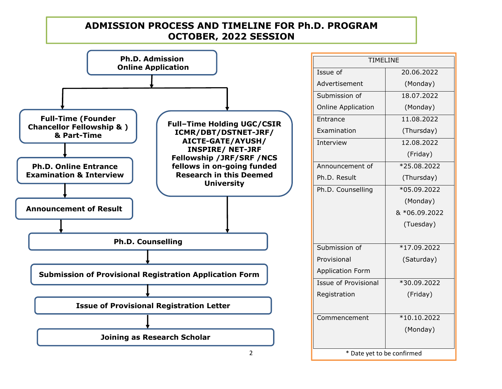# **ADMISSION PROCESS AND TIMELINE FOR Ph.D. PROGRAM OCTOBER, 2022 SESSION**



|                    | <b>TIMELINE</b>             |               |
|--------------------|-----------------------------|---------------|
|                    | Issue of                    | 20.06.2022    |
|                    | Advertisement               | (Monday)      |
|                    | Submission of               | 18.07.2022    |
|                    | <b>Online Application</b>   | (Monday)      |
| <b>SC/CSIR</b>     | Entrance                    | 11.08.2022    |
| <b>F-JRF/</b>      | Examination                 | (Thursday)    |
| <b>SH/</b>         | Interview                   | 12.08.2022    |
| <b>RF</b><br>F/NCS |                             | (Friday)      |
| funded             | Announcement of             | *25.08.2022   |
| emed               | Ph.D. Result                | (Thursday)    |
|                    | Ph.D. Counselling           | *05.09.2022   |
|                    |                             | (Monday)      |
|                    |                             | & *06.09.2022 |
|                    |                             | (Tuesday)     |
|                    |                             |               |
|                    | Submission of               | *17.09.2022   |
|                    | Provisional                 | (Saturday)    |
| rm                 | <b>Application Form</b>     |               |
|                    | <b>Issue of Provisional</b> | *30.09.2022   |
|                    | Registration                | (Friday)      |
|                    |                             |               |
|                    | Commencement                | $*10.10.2022$ |
|                    |                             | (Monday)      |
|                    |                             |               |
| 2                  | * Date yet to be confirmed  |               |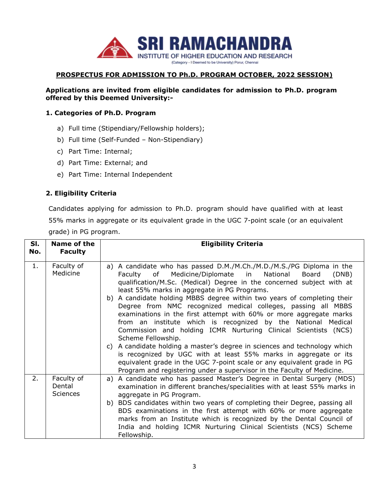

# **PROSPECTUS FOR ADMISSION TO Ph.D. PROGRAM OCTOBER, 2022 SESSION)**

**Applications are invited from eligible candidates for admission to Ph.D. program offered by this Deemed University:-**

#### **1. Categories of Ph.D. Program**

- a) Full time (Stipendiary/Fellowship holders);
- b) Full time (Self-Funded Non-Stipendiary)
- c) Part Time: Internal;
- d) Part Time: External; and
- e) Part Time: Internal Independent

# **2. Eligibility Criteria**

Candidates applying for admission to Ph.D. program should have qualified with at least 55% marks in aggregate or its equivalent grade in the UGC 7-point scale (or an equivalent grade) in PG program.

| SI.<br>No. | Name of the<br><b>Faculty</b>    | <b>Eligibility Criteria</b>                                                                                                                                                                                                                                                                                                                                                                                                                                                                                                                                                                                                                                                                                                                                                                                                                                                                                                                    |
|------------|----------------------------------|------------------------------------------------------------------------------------------------------------------------------------------------------------------------------------------------------------------------------------------------------------------------------------------------------------------------------------------------------------------------------------------------------------------------------------------------------------------------------------------------------------------------------------------------------------------------------------------------------------------------------------------------------------------------------------------------------------------------------------------------------------------------------------------------------------------------------------------------------------------------------------------------------------------------------------------------|
| 1.         | Faculty of<br>Medicine           | a) A candidate who has passed D.M./M.Ch./M.D./M.S./PG Diploma in the<br>Faculty of Medicine/Diplomate in National<br>Board<br>(DNB)<br>qualification/M.Sc. (Medical) Degree in the concerned subject with at<br>least 55% marks in aggregate in PG Programs.<br>b) A candidate holding MBBS degree within two years of completing their<br>Degree from NMC recognized medical colleges, passing all MBBS<br>examinations in the first attempt with 60% or more aggregate marks<br>from an institute which is recognized by the National Medical<br>Commission and holding ICMR Nurturing Clinical Scientists (NCS)<br>Scheme Fellowship.<br>c) A candidate holding a master's degree in sciences and technology which<br>is recognized by UGC with at least 55% marks in aggregate or its<br>equivalent grade in the UGC 7-point scale or any equivalent grade in PG<br>Program and registering under a supervisor in the Faculty of Medicine. |
| 2.         | Faculty of<br>Dental<br>Sciences | a) A candidate who has passed Master's Degree in Dental Surgery (MDS)<br>examination in different branches/specialities with at least 55% marks in<br>aggregate in PG Program.<br>b) BDS candidates within two years of completing their Degree, passing all<br>BDS examinations in the first attempt with 60% or more aggregate<br>marks from an Institute which is recognized by the Dental Council of<br>India and holding ICMR Nurturing Clinical Scientists (NCS) Scheme<br>Fellowship.                                                                                                                                                                                                                                                                                                                                                                                                                                                   |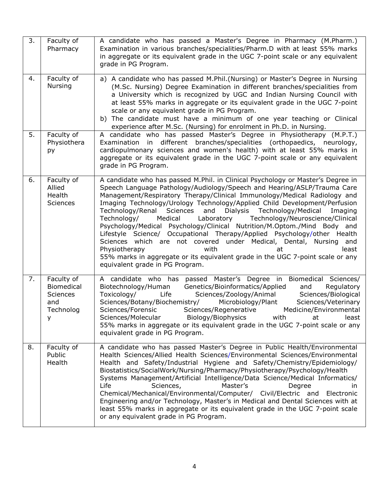| 3. | Faculty of<br>Pharmacy                                               | A candidate who has passed a Master's Degree in Pharmacy (M.Pharm.)<br>Examination in various branches/specialities/Pharm.D with at least 55% marks<br>in aggregate or its equivalent grade in the UGC 7-point scale or any equivalent<br>grade in PG Program.                                                                                                                                                                                                                                                                                                                                                                                                                                                                                                                                                                                               |
|----|----------------------------------------------------------------------|--------------------------------------------------------------------------------------------------------------------------------------------------------------------------------------------------------------------------------------------------------------------------------------------------------------------------------------------------------------------------------------------------------------------------------------------------------------------------------------------------------------------------------------------------------------------------------------------------------------------------------------------------------------------------------------------------------------------------------------------------------------------------------------------------------------------------------------------------------------|
| 4. | Faculty of<br><b>Nursing</b>                                         | a) A candidate who has passed M.Phil.(Nursing) or Master's Degree in Nursing<br>(M.Sc. Nursing) Degree Examination in different branches/specialities from<br>a University which is recognized by UGC and Indian Nursing Council with<br>at least 55% marks in aggregate or its equivalent grade in the UGC 7-point<br>scale or any equivalent grade in PG Program.<br>b) The candidate must have a minimum of one year teaching or Clinical<br>experience after M.Sc. (Nursing) for enrolment in Ph.D. in Nursing.                                                                                                                                                                                                                                                                                                                                          |
| 5. | Faculty of<br>Physiothera<br>py                                      | A candidate who has passed Master's Degree in Physiotherapy (M.P.T.)<br>Examination in different branches/specialities (orthopaedics, neurology,<br>cardiopulmonary sciences and women's health) with at least 55% marks in<br>aggregate or its equivalent grade in the UGC 7-point scale or any equivalent<br>grade in PG Program.                                                                                                                                                                                                                                                                                                                                                                                                                                                                                                                          |
| 6. | Faculty of<br>Allied<br>Health<br><b>Sciences</b>                    | A candidate who has passed M.Phil. in Clinical Psychology or Master's Degree in<br>Speech Language Pathology/Audiology/Speech and Hearing/ASLP/Trauma Care<br>Management/Respiratory Therapy/Clinical Immunology/Medical Radiology and<br>Imaging Technology/Urology Technology/Applied Child Development/Perfusion<br>Technology/Renal Sciences and Dialysis Technology/Medical Imaging<br>Technology/<br>Medical<br>Laboratory<br>Technology/Neuroscience/Clinical<br>Psychology/Medical Psychology/Clinical Nutrition/M.Optom./Mind Body and<br>Lifestyle Science/ Occupational Therapy/Applied Psychology/other Health<br>Sciences which are not covered under Medical, Dental, Nursing and<br>Physiotherapy<br>with<br>least<br>at<br>55% marks in aggregate or its equivalent grade in the UGC 7-point scale or any<br>equivalent grade in PG Program. |
| 7. | Faculty of<br>Biomedical<br>Sciences<br>and<br>Technolog<br><b>V</b> | A candidate who has passed Master's Degree in Biomedical Sciences/<br>Biotechnology/Human<br>Genetics/Bioinformatics/Applied<br>Regulatory<br>and<br>Sciences/Biological<br>Toxicology/<br>Life<br>Sciences/Zoology/Animal<br>Sciences/Botany/Biochemistry/<br>Microbiology/Plant<br>Sciences/Veterinary<br>Sciences/Forensic<br>Sciences/Regenerative<br>Medicine/Environmental<br>Sciences/Molecular Biology/Biophysics<br>with<br>least<br>at at<br>55% marks in aggregate or its equivalent grade in the UGC 7-point scale or any<br>equivalent grade in PG Program.                                                                                                                                                                                                                                                                                     |
| 8. | Faculty of<br>Public<br>Health                                       | A candidate who has passed Master's Degree in Public Health/Environmental<br>Health Sciences/Allied Health Sciences/Environmental Sciences/Environmental<br>Health and Safety/Industrial Hygiene and Safety/Chemistry/Epidemiology/<br>Biostatistics/SocialWork/Nursing/Pharmacy/Physiotherapy/Psychology/Health<br>Systems Management/Artificial Intelligence/Data Science/Medical Informatics/<br>Life<br>Sciences,<br>Master's<br>Degree<br>in.<br>Chemical/Mechanical/Environmental/Computer/ Civil/Electric and Electronic<br>Engineering and/or Technology, Master's in Medical and Dental Sciences with at<br>least 55% marks in aggregate or its equivalent grade in the UGC 7-point scale<br>or any equivalent grade in PG Program.                                                                                                                 |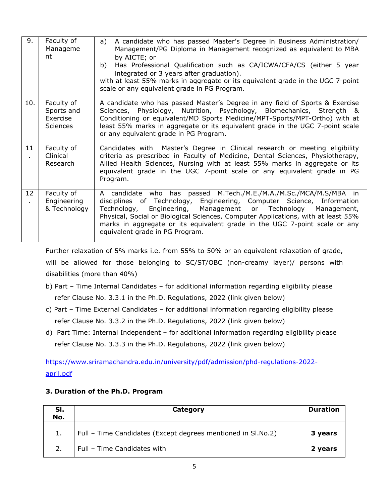| 9.  | Faculty of<br>Manageme<br>nt                     | A candidate who has passed Master's Degree in Business Administration/<br>a)<br>Management/PG Diploma in Management recognized as equivalent to MBA<br>by AICTE; or<br>Has Professional Qualification such as CA/ICWA/CFA/CS (either 5 year<br>b)<br>integrated or 3 years after graduation).<br>with at least 55% marks in aggregate or its equivalent grade in the UGC 7-point<br>scale or any equivalent grade in PG Program. |
|-----|--------------------------------------------------|----------------------------------------------------------------------------------------------------------------------------------------------------------------------------------------------------------------------------------------------------------------------------------------------------------------------------------------------------------------------------------------------------------------------------------|
| 10. | Faculty of<br>Sports and<br>Exercise<br>Sciences | A candidate who has passed Master's Degree in any field of Sports & Exercise<br>Sciences, Physiology, Nutrition, Psychology, Biomechanics, Strength &<br>Conditioning or equivalent/MD Sports Medicine/MPT-Sports/MPT-Ortho) with at<br>least 55% marks in aggregate or its equivalent grade in the UGC 7-point scale<br>or any equivalent grade in PG Program.                                                                  |
| 11  | Faculty of<br>Clinical<br>Research               | Candidates with Master's Degree in Clinical research or meeting eligibility<br>criteria as prescribed in Faculty of Medicine, Dental Sciences, Physiotherapy,<br>Allied Health Sciences, Nursing with at least 55% marks in aggregate or its<br>equivalent grade in the UGC 7-point scale or any equivalent grade in PG<br>Program.                                                                                              |
| 12  | Faculty of<br>Engineering<br>& Technology        | A candidate who has passed M.Tech./M.E./M.A./M.Sc./MCA/M.S/MBA in<br>disciplines of Technology, Engineering, Computer Science, Information<br>Technology, Engineering, Management or Technology Management,<br>Physical, Social or Biological Sciences, Computer Applications, with at least 55%<br>marks in aggregate or its equivalent grade in the UGC 7-point scale or any<br>equivalent grade in PG Program.                |

Further relaxation of 5% marks i.e. from 55% to 50% or an equivalent relaxation of grade,<br>will be allowed for those belonging to SC/ST/OBC (non-creamy layer)/ persons with disabilities (more than 40%)

- b) Part Time Internal Candidates for additional information regarding eligibility please refer Clause No. 3.3.1 in the Ph.D. Regulations, 2022 (link given below)
- c) Part Time External Candidates for additional information regarding eligibility please refer Clause No. 3.3.2 in the Ph.D. Regulations, 2022 (link given below)
- d) Part Time: Internal Independent for additional information regarding eligibility please refer Clause No. 3.3.3 in the Ph.D. Regulations, 2022 (link given below)

[https://www.sriramachandra.edu.in/university/pdf/admission/phd-regulations-2022](https://www.sriramachandra.edu.in/university/pdf/admission/phd-regulations-2022-april.pdf) april.pdf

# **3. Duration of the Ph.D. Program**

| SI.<br>No. | Category                                                     | <b>Duration</b> |
|------------|--------------------------------------------------------------|-----------------|
| 1.         | Full - Time Candidates (Except degrees mentioned in SI.No.2) | 3 years         |
| 2.         | Full - Time Candidates with                                  | 2 years         |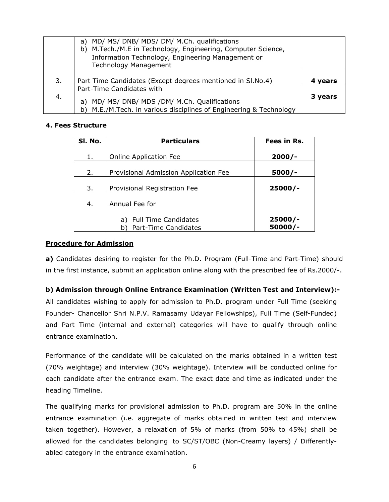|     | a) MD/ MS/ DNB/ MDS/ DM/ M.Ch. qualifications<br>b) M.Tech./M.E in Technology, Engineering, Computer Science,<br>Information Technology, Engineering Management or<br><b>Technology Management</b> |         |
|-----|----------------------------------------------------------------------------------------------------------------------------------------------------------------------------------------------------|---------|
| 3.  | Part Time Candidates (Except degrees mentioned in Sl.No.4)                                                                                                                                         | 4 years |
| -4. | Part-Time Candidates with<br>a) MD/ MS/ DNB/ MDS /DM/ M.Ch. Qualifications<br>b) M.E./M.Tech. in various disciplines of Engineering & Technology                                                   | 3 years |

### **4. Fees Structure**

| SI. No. | <b>Particulars</b>                                    | Fees in Rs.            |
|---------|-------------------------------------------------------|------------------------|
| 1.      | <b>Online Application Fee</b>                         | $2000/-$               |
| 2.      | Provisional Admission Application Fee                 | $5000/-$               |
| 3.      | Provisional Registration Fee                          | $25000/-$              |
| 4.      | Annual Fee for                                        |                        |
|         | a) Full Time Candidates<br>Part-Time Candidates<br>b) | $25000/-$<br>$50000/-$ |

### **Procedure for Admission**

**a)** Candidates desiring to register for the Ph.D. Program (Full-Time and Part-Time) should in the first instance, submit an application online along with the prescribed fee of Rs.2000/-.

# **b) Admission through Online Entrance Examination (Written Test and Interview):-**

All candidates wishing to apply for admission to Ph.D. program under Full Time (seeking Founder- Chancellor Shri N.P.V. Ramasamy Udayar Fellowships), Full Time (Self-Funded) and Part Time (internal and external) categories will have to qualify through online entrance examination.

Performance of the candidate will be calculated on the marks obtained in a written test (70% weightage) and interview (30% weightage). Interview will be conducted online for each candidate after the entrance exam. The exact date and time as indicated under the heading Timeline.<br>The qualifying marks for provisional admission to Ph.D. program are 50% in the online

entrance examination (i.e. aggregate of marks obtained in written test and interview taken together). However, a relaxation of 5% of marks (from 50% to 45%) shall be allowed for the candidates belonging to SC/ST/OBC (Non-Creamy layers) / Differently abled category in the entrance examination.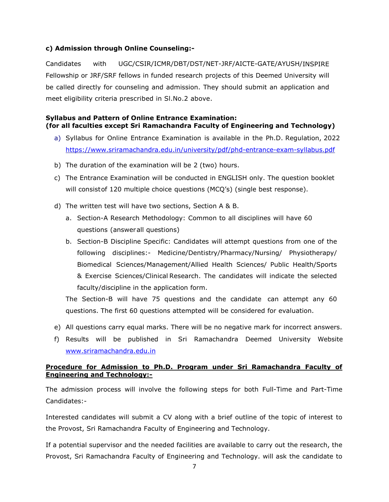# **c) Admission through Online Counseling:-**

Candidates with UGC/CSIR/ICMR/DBT/DST/NET-JRF/AICTE-GATE/AYUSH/INSPIRE Fellowship or JRF/SRF fellows in funded research projects of this Deemed University will be called directly for counseling and admission. They should submit an application and meet eligibility criteria prescribed in Sl.No.2 above.

# **Syllabus and Pattern of Online Entrance Examination: (for all faculties except Sri Ramachandra Faculty of Engineering and Technology)**

- a) Syllabus for Online Entrance Examination is available in the Ph.D. Regulation, 2022 <https://www.sriramachandra.edu.in/university/pdf/phd-entrance-exam-syllabus.pdf>
- b) The duration of the examination will be 2 (two) hours.
- c) The Entrance Examination will be conducted in ENGLISH only. The question booklet will consistof 120 multiple choice questions (MCQ's) (single best response).
- d) The written test will have two sections, Section A & B.
	- a. Section-A Research Methodology: Common to all disciplines will have 60 questions (answerall questions)
	- b. Section-B Discipline Specific: Candidates will attempt questions from one of the following disciplines:- Medicine/Dentistry/Pharmacy/Nursing/ Physiotherapy/ Biomedical Sciences/Management/Allied Health Sciences/ Public Health/Sports & Exercise Sciences/Clinical Research. The candidates will indicate the selected faculty/discipline in the application form.

The Section-B will have 75 questions and the candidate can attempt any 60 questions. The first 60 questions attempted will be considered for evaluation.

- e) All questions carry equal marks. There will be no negative mark for incorrect answers.
- f) Results will be published in Sri Ramachandra Deemed University Website [www.sriramachandra.edu.in](http://www.sriramachandra.edu.in)

# **Procedure for Admission to Ph.D. Program under Sri Ramachandra Faculty of Engineering and Technology:-**

The admission process will involve the following steps for both Full-Time and Part-Time Candidates:-

Interested candidates will submit a CV along with a brief outline of the topic of interest to the Provost, Sri Ramachandra Faculty of Engineering and Technology.

If a potential supervisor and the needed facilities are available to carry out the research, the Provost, Sri Ramachandra Faculty of Engineering and Technology. will ask the candidate to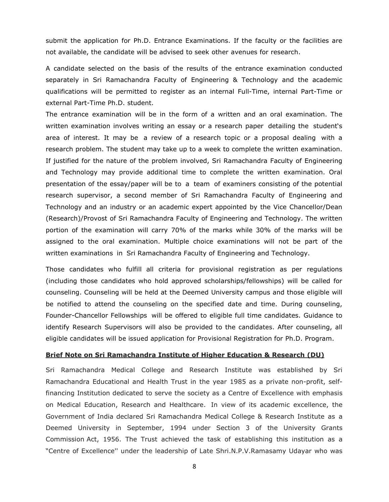submit the application for Ph.D. Entrance Examinations. If the faculty or the facilities are not available, the candidate will be advised to seek other avenues for research.

A candidate selected on the basis of the results of the entrance examination conducted separately in Sri Ramachandra Faculty of Engineering & Technology and the academic qualifications will be permitted to register as an internal Full-Time, internal Part-Time or external Part-Time Ph.D. student.

The entrance examination will be in the form of a written and an oral examination. The written examination involves writing an essay or a research paper detailing the student's area of interest. It may be a review of a research topic or a proposal dealing with a research problem. The student may take up to a week to complete the written examination. If justified for the nature of the problem involved, Sri Ramachandra Faculty of Engineering and Technology may provide additional time to complete the written examination. Oral presentation of the essay/paper will be to a team of examiners consisting of the potential research supervisor, a second member of Sri Ramachandra Faculty of Engineering and Technology and an industry or an academic expert appointed by the Vice Chancellor/Dean (Research)/Provost of Sri Ramachandra Faculty of Engineering and Technology. The written portion of the examination will carry 70% of the marks while 30% of the marks will be assigned to the oral examination. Multiple choice examinations will not be part of the written examinations in Sri Ramachandra Faculty of Engineering and Technology.

Those candidates who fulfill all criteria for provisional registration as per regulations (including those candidates who hold approved scholarships/fellowships) will be called for counseling. Counseling will be held at the Deemed University campus and those eligible will be notified to attend the counseling on the specified date and time. During counseling, Founder-Chancellor Fellowships will be offered to eligible full time candidates. Guidance to identify Research Supervisors will also be provided to the candidates. After counseling, all eligible candidates will be issued application for Provisional Registration for Ph.D. Program.

#### **Brief Note on Sri Ramachandra Institute of Higher Education & Research (DU)**

Sri Ramachandra Medical College and Research Institute was established by Sri Ramachandra Educational and Health Trust in the year 1985 as a private non-profit, selffinancing Institution dedicated to serve the society as a Centre of Excellence with emphasis on Medical Education, Research and Healthcare. In view of its academic excellence, the Government of India declared Sri Ramachandra Medical College & Research Institute as a Deemed University in September, 1994 under Section 3 of the University Grants Commission Act, 1956. The Trust achieved the task of establishing this institution as a "Centre of Excellence'' under the leadership of Late Shri.N.P.V.Ramasamy Udayar who was

8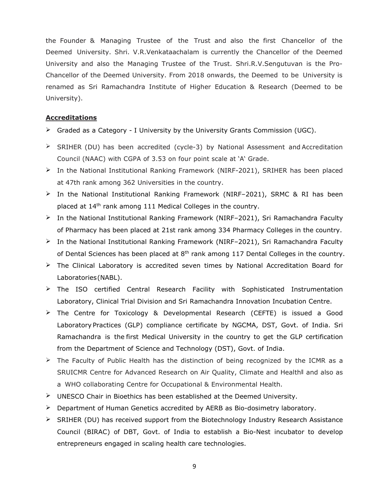the Founder & Managing Trustee of the Trust and also the first Chancellor of the Deemed University. Shri. V.R.Venkataachalam is currently the Chancellor of the Deemed University and also the Managing Trustee of the Trust. Shri.R.V.Sengutuvan is the Pro-Chancellor of the Deemed University. From <sup>2018</sup> onwards, the Deemed to be University is renamed as Sri Ramachandra Institute of Higher Education & Research (Deemed to be University).

#### **Accreditations**

- $\triangleright$  Graded as a Category I University by the University Grants Commission (UGC).
- $\triangleright$  SRIHER (DU) has been accredited (cycle-3) by National Assessment and Accreditation Council (NAAC) with CGPA of 3.53 on four point scale at 'A' Grade.
- $\triangleright$  In the National Institutional Ranking Framework (NIRF-2021), SRIHER has been placed at 47th rank among 362 Universities in the country.
- $\geq$  In the National Institutional Ranking Framework (NIRF-2021), SRMC & RI has been placed at 14<sup>th</sup> rank among 111 Medical Colleges in the country.
- In the National Institutional Ranking Framework (NIRF–2021), Sri Ramachandra Faculty of Pharmacy has been placed at 21st rank among 334 Pharmacy Colleges in the country.
- $\triangleright$  In the National Institutional Ranking Framework (NIRF-2021), Sri Ramachandra Faculty of Dental Sciences has been placed at 8<sup>th</sup> rank among 117 Dental Colleges in the country.
- $\triangleright$  The Clinical Laboratory is accredited seven times by National Accreditation Board for Laboratories(NABL).
- $\triangleright$  The ISO certified Central Research Facility with Sophisticated Instrumentation Laboratory, Clinical Trial Division and Sri Ramachandra Innovation Incubation Centre.
- The Centre for Toxicology & Developmental Research (CEFTE) is issued a Good Laboratory Practices (GLP) compliance certificate by NGCMA, DST, Govt. of India. Sri Ramachandra is the first Medical University in the country to get the GLP certification from the Department of Science and Technology (DST), Govt. of India.
- $\triangleright$  The Faculty of Public Health has the distinction of being recognized by the ICMR as a SRUICMR Centre for Advanced Research on Air Quality, Climate and Health<sup>||</sup> and also as a WHO collaborating Centre for Occupational & Environmental Health.
- $\triangleright$  UNESCO Chair in Bioethics has been established at the Deemed University.
- $\triangleright$  Department of Human Genetics accredited by AERB as Bio-dosimetry laboratory.
- $\triangleright$  SRIHER (DU) has received support from the Biotechnology Industry Research Assistance Council (BIRAC) of DBT, Govt. of India to establish a Bio-Nest incubator to develop entrepreneurs engaged in scaling health care technologies.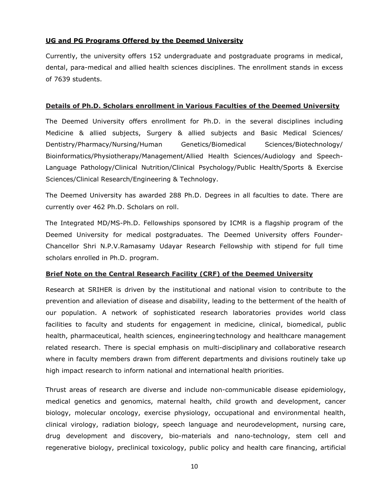# **UG and PG Programs Offered by the Deemed University**

Currently, the university offers 152 undergraduate and postgraduate programs in medical, dental, para-medical and allied health sciences disciplines. The enrollment stands in excess of 7639 students.

#### **Details of Ph.D. Scholars enrollment in Various Faculties of the Deemed University**

The Deemed University offers enrollment for Ph.D. in the several disciplines including Medicine & allied subjects, Surgery & allied subjects and Basic Medical Sciences/ Dentistry/Pharmacy/Nursing/Human Genetics/Biomedical Sciences/Biotechnology/ Bioinformatics/Physiotherapy/Management/Allied Health Sciences/Audiology and Speech- Language Pathology/Clinical Nutrition/Clinical Psychology/Public Health/Sports & Exercise Sciences/Clinical Research/Engineering & Technology.

The Deemed University has awarded 288 Ph.D. Degrees in all faculties to date. There are currently over 462 Ph.D. Scholars on roll.

The Integrated MD/MS-Ph.D. Fellowships sponsored by ICMR is a flagship program of the Deemed University for medical postgraduates. The Deemed University offers Founder- Chancellor Shri N.P.V.Ramasamy Udayar Research Fellowship with stipend for full time scholars enrolled in Ph.D. program.

### **Brief Note on the Central Research Facility (CRF) of the Deemed University**

Research at SRIHER is driven by the institutional and national vision to contribute to the prevention and alleviation of disease and disability, leading to the betterment of the health of our population. A network of sophisticated research laboratories provides world class facilities to faculty and students for engagement in medicine, clinical, biomedical, public health, pharmaceutical, health sciences, engineeringtechnology and healthcare management related research. There is special emphasis on multi-disciplinary and collaborative research where in faculty members drawn from different departments and divisions routinely take up high impact research to inform national and international health priorities.

Thrust areas of research are diverse and include non-communicable disease epidemiology, medical genetics and genomics, maternal health, child growth and development, cancer biology, molecular oncology, exercise physiology, occupational and environmental health, clinical virology, radiation biology, speech language and neurodevelopment, nursing care, drug development and discovery, bio-materials and nano-technology, stem cell and regenerative biology, preclinical toxicology, public policy and health care financing, artificial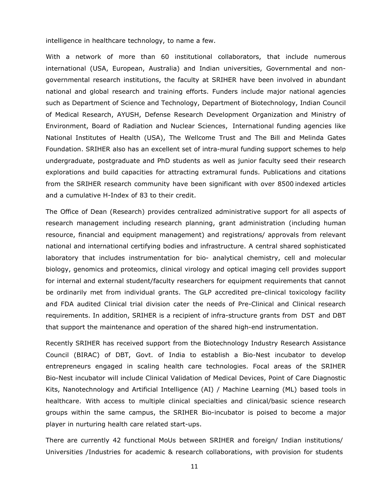#### intelligence in healthcare technology, to name a few.

With a network of more than 60 institutional collaborators, that include numerous international (USA, European, Australia) and Indian universities, Governmental and non governmental research institutions, the faculty at SRIHER have been involved in abundant national and global research and training efforts. Funders include major national agencies such as Department of Science and Technology, Department of Biotechnology, Indian Council of Medical Research, AYUSH, Defense Research Development Organization and Ministry of Environment, Board of Radiation and Nuclear Sciences, International funding agencies like National Institutes of Health (USA), The Wellcome Trust and The Bill and Melinda Gates Foundation. SRIHER also has an excellent set of intra-mural funding support schemes to help undergraduate, postgraduate and PhD students as well as junior faculty seed their research explorations and build capacities for attracting extramural funds. Publications and citations from the SRIHER research community have been significant with over 8500 indexed articles and a cumulative H-Index of 83 to their credit.

The Office of Dean (Research) provides centralized administrative support for all aspects of research management including research planning, grant administration (including human resource, financial and equipment management) and registrations/ approvals from relevant national and international certifying bodies and infrastructure. A central shared sophisticated laboratory that includes instrumentation for bio- analytical chemistry, cell and molecular biology, genomics and proteomics, clinical virology and optical imaging cell provides support for internal and external student/faculty researchers for equipment requirements that cannot be ordinarily met from individual grants. The GLP accredited pre-clinical toxicology facility and FDA audited Clinical trial division cater the needs of Pre-Clinical and Clinical research requirements. In addition, SRIHER is a recipient of infra-structure grants from DST and DBT that support the maintenance and operation of the shared high-end instrumentation.

Recently SRIHER has received support from the Biotechnology Industry Research Assistance Council (BIRAC) of DBT, Govt. of India to establish a Bio-Nest incubator to develop entrepreneurs engaged in scaling health care technologies. Focal areas of the SRIHER Bio-Nest incubator will include Clinical Validation of Medical Devices, Point of Care Diagnostic Kits, Nanotechnology and Artificial Intelligence (AI) / Machine Learning (ML) based tools in healthcare. With access to multiple clinical specialties and clinical/basic science research groups within the same campus, the SRIHER Bio-incubator is poised to become a major player in nurturing health care related start-ups.

There are currently 42 functional MoUs between SRIHER and foreign/ Indian institutions/ Universities /Industries for academic & research collaborations, with provision for students

11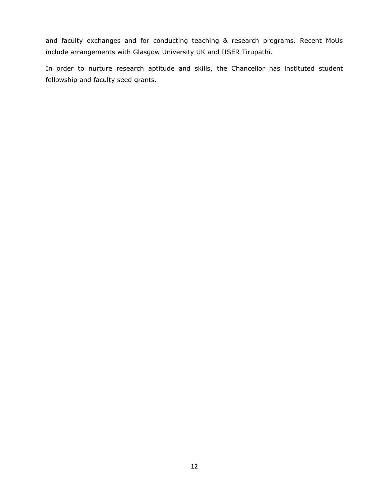and faculty exchanges and for conducting teaching & research programs. Recent MoUs include arrangements with Glasgow University UK and IISER Tirupathi.

In order to nurture research aptitude and skills, the Chancellor has instituted student fellowship and faculty seed grants.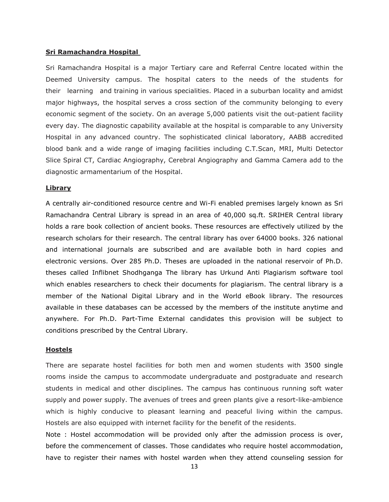#### **Sri Ramachandra Hospital**

Sri Ramachandra Hospital is a major Tertiary care and Referral Centre located within the Deemed University campus. The hospital caters to the needs of the students for their learning and training in various specialities. Placed in a suburban locality and amidst major highways, the hospital serves a cross section of the community belonging to every economic segment of the society. On an average 5,000 patients visit the out-patient facility every day. The diagnostic capability available at the hospital is comparable to any University Hospital in any advanced country. The sophisticated clinical laboratory, AABB accredited blood bank and a wide range of imaging facilities including C.T.Scan, MRI, Multi Detector Slice Spiral CT, Cardiac Angiography, Cerebral Angiography and Gamma Camera add to the diagnostic armamentarium of the Hospital.

#### **Library**

A centrally air-conditioned resource centre and Wi-Fi enabled premises largely known as Sri Ramachandra Central Library is spread in an area of 40,000 sq.ft. SRIHER Central library holds a rare book collection of ancient books. These resources are effectively utilized by the research scholars for their research. The central library has over 64000 books. 326 national and international journals are subscribed and are available both in hard copies and electronic versions. Over 285 Ph.D. Theses are uploaded in the national reservoir of Ph.D. theses called Inflibnet Shodhganga The library has Urkund Anti Plagiarism software tool which enables researchers to check their documents for plagiarism. The central library is a member of the National Digital Library and in the World eBook library. The resources available in these databases can be accessed by the members of the institute anytime and anywhere. For Ph.D. Part-Time External candidates this provision will be subject to conditions prescribed by the Central Library.

#### **Hostels**

There are separate hostel facilities for both men and women students with 3500 single rooms inside the campus to accommodate undergraduate and postgraduate and research students in medical and other disciplines. The campus has continuous running soft water supply and power supply. The avenues of trees and green plants give a resort-like-ambience which is highly conducive to pleasant learning and peaceful living within the campus. Hostels are also equipped with internet facility for the benefit of the residents.

Note : Hostel accommodation will be provided only after the admission process is over, before the commencement of classes. Those candidates who require hostel accommodation, have to register their names with hostel warden when they attend counseling session for

13